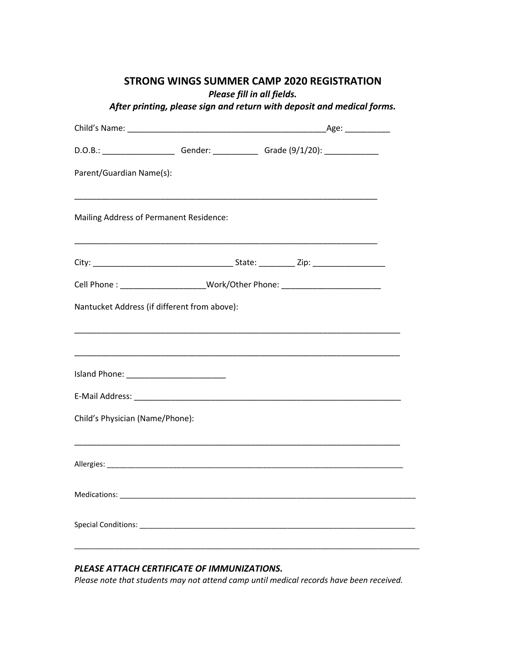## **STRONG WINGS SUMMER CAMP 2020 REGISTRATION**

*Please fill in all fields.* 

| After printing, please sign and return with deposit and medical forms. |  |
|------------------------------------------------------------------------|--|
|------------------------------------------------------------------------|--|

| D.O.B.: ______________________Gender: ______________Grade (9/1/20): ____________                                      |                                                                                                                       |  |
|-----------------------------------------------------------------------------------------------------------------------|-----------------------------------------------------------------------------------------------------------------------|--|
| Parent/Guardian Name(s):                                                                                              |                                                                                                                       |  |
| Mailing Address of Permanent Residence:                                                                               |                                                                                                                       |  |
|                                                                                                                       | <u> 1989 - Johann Stoff, amerikansk politiker (d. 1989)</u>                                                           |  |
| Cell Phone : _______________________Work/Other Phone: __________________________                                      |                                                                                                                       |  |
| Nantucket Address (if different from above):                                                                          |                                                                                                                       |  |
| <u> 1989 - Johann Harry Harry Harry Harry Harry Harry Harry Harry Harry Harry Harry Harry Harry Harry Harry Harry</u> |                                                                                                                       |  |
|                                                                                                                       |                                                                                                                       |  |
| Child's Physician (Name/Phone):                                                                                       |                                                                                                                       |  |
|                                                                                                                       | <u> 1989 - Johann Harry Harry Harry Harry Harry Harry Harry Harry Harry Harry Harry Harry Harry Harry Harry Harry</u> |  |
|                                                                                                                       |                                                                                                                       |  |
|                                                                                                                       |                                                                                                                       |  |
|                                                                                                                       |                                                                                                                       |  |

## *PLEASE ATTACH CERTIFICATE OF IMMUNIZATIONS.*

*Please note that students may not attend camp until medical records have been received.*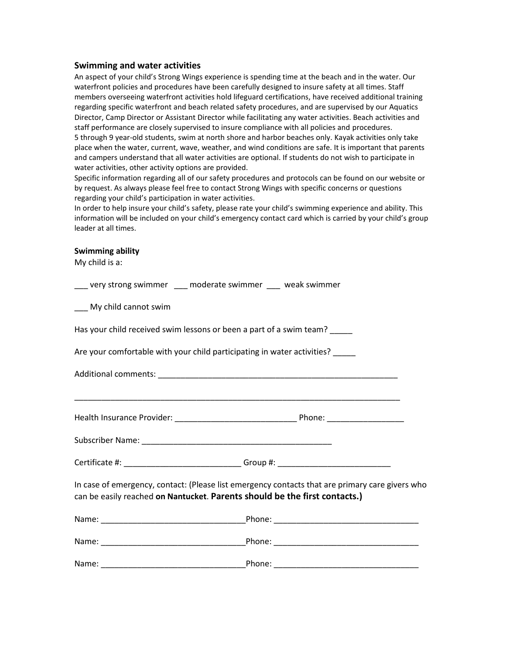### **Swimming and water activities**

An aspect of your child's Strong Wings experience is spending time at the beach and in the water. Our waterfront policies and procedures have been carefully designed to insure safety at all times. Staff members overseeing waterfront activities hold lifeguard certifications, have received additional training regarding specific waterfront and beach related safety procedures, and are supervised by our Aquatics Director, Camp Director or Assistant Director while facilitating any water activities. Beach activities and staff performance are closely supervised to insure compliance with all policies and procedures. 5 through 9 year-old students, swim at north shore and harbor beaches only. Kayak activities only take place when the water, current, wave, weather, and wind conditions are safe. It is important that parents and campers understand that all water activities are optional. If students do not wish to participate in water activities, other activity options are provided.

Specific information regarding all of our safety procedures and protocols can be found on our website or by request. As always please feel free to contact Strong Wings with specific concerns or questions regarding your child's participation in water activities.

In order to help insure your child's safety, please rate your child's swimming experience and ability. This information will be included on your child's emergency contact card which is carried by your child's group leader at all times.

#### **Swimming ability**

My child is a:

| ___ very strong swimmer ___ moderate swimmer ___ weak swimmer                 |                                                                                                 |  |  |
|-------------------------------------------------------------------------------|-------------------------------------------------------------------------------------------------|--|--|
| ___ My child cannot swim                                                      |                                                                                                 |  |  |
| Has your child received swim lessons or been a part of a swim team?           |                                                                                                 |  |  |
| Are your comfortable with your child participating in water activities? _____ |                                                                                                 |  |  |
|                                                                               |                                                                                                 |  |  |
|                                                                               |                                                                                                 |  |  |
|                                                                               |                                                                                                 |  |  |
|                                                                               | Certificate #: _______________________________Group #: _________________________                |  |  |
| can be easily reached on Nantucket. Parents should be the first contacts.)    | In case of emergency, contact: (Please list emergency contacts that are primary care givers who |  |  |
|                                                                               |                                                                                                 |  |  |
|                                                                               |                                                                                                 |  |  |
|                                                                               |                                                                                                 |  |  |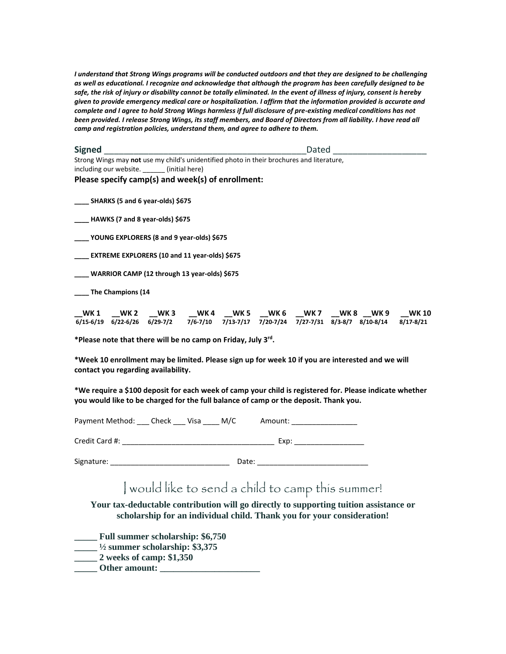*I understand that Strong Wings programs will be conducted outdoors and that they are designed to be challenging as well as educational. I recognize and acknowledge that although the program has been carefully designed to be safe, the risk of injury or disability cannot be totally eliminated. In the event of illness of injury, consent is hereby given to provide emergency medical care or hospitalization. I affirm that the information provided is accurate and*  complete and I agree to hold Strong Wings harmless if full disclosure of pre-existing medical conditions has not been provided. I release Strong Wings, its staff members, and Board of Directors from all liability. I have read all *camp and registration policies, understand them, and agree to adhere to them.*

| <b>Signed</b>          | Dated                                                                                     |
|------------------------|-------------------------------------------------------------------------------------------|
|                        | Strong Wings may not use my child's unidentified photo in their brochures and literature, |
| including our website. | (initial here)                                                                            |

**Please specify camp(s) and week(s) of enrollment:** 

**\_\_\_\_ SHARKS (5 and 6 year-olds) \$675**

**\_\_\_\_ HAWKS (7 and 8 year-olds) \$675**

**\_\_\_\_ YOUNG EXPLORERS (8 and 9 year-olds) \$675**

**\_\_\_\_ EXTREME EXPLORERS (10 and 11 year-olds) \$675**

**\_\_\_\_ WARRIOR CAMP (12 through 13 year-olds) \$675**

**\_\_\_\_ The Champions (14**

**\_\_WK 1 \_\_WK 2 \_\_WK 3 \_\_WK 4 \_\_WK 5 \_\_WK 6 \_\_WK 7 \_\_WK 8 \_\_WK 9 \_\_WK 10 6/15-6/19 6/22-6/26 6/29-7/2 7/6-7/10 7/13-7/17 7/20-7/24 7/27-7/31 8/3-8/7 8/10-8/14 8/17-8/21**

**\*Please note that there will be no camp on Friday, July 3 rd .** 

**\*Week 10 enrollment may be limited. Please sign up for week 10 if you are interested and we will contact you regarding availability.** 

**\*We require a \$100 deposit for each week of camp your child is registered for. Please indicate whether you would like to be charged for the full balance of camp or the deposit. Thank you.** 

Payment Method: Check \_\_\_ Visa \_\_\_\_ M/C Amount: \_\_\_\_\_\_\_\_\_\_\_\_\_\_\_\_

Credit Card #: \_\_\_\_\_\_\_\_\_\_\_\_\_\_\_\_\_\_\_\_\_\_\_\_\_\_\_\_\_\_\_\_\_\_\_\_\_ Exp: \_\_\_\_\_\_\_\_\_\_\_\_\_\_\_\_\_

Signature: example and the state of Date:  $\Box$ 

# I would like to send a child to camp this summer!

**Your tax-deductable contribution will go directly to supporting tuition assistance or scholarship for an individual child. Thank you for your consideration!**

**\_\_\_\_\_ Full summer scholarship: \$6,750**

- $\frac{1}{2}$  summer scholarship: \$3,375
- **\_\_\_\_\_ 2 weeks of camp: \$1,350**
- **\_\_\_\_\_ Other amount: \_\_\_\_\_\_\_\_\_\_\_\_\_\_\_\_\_\_\_\_\_\_**